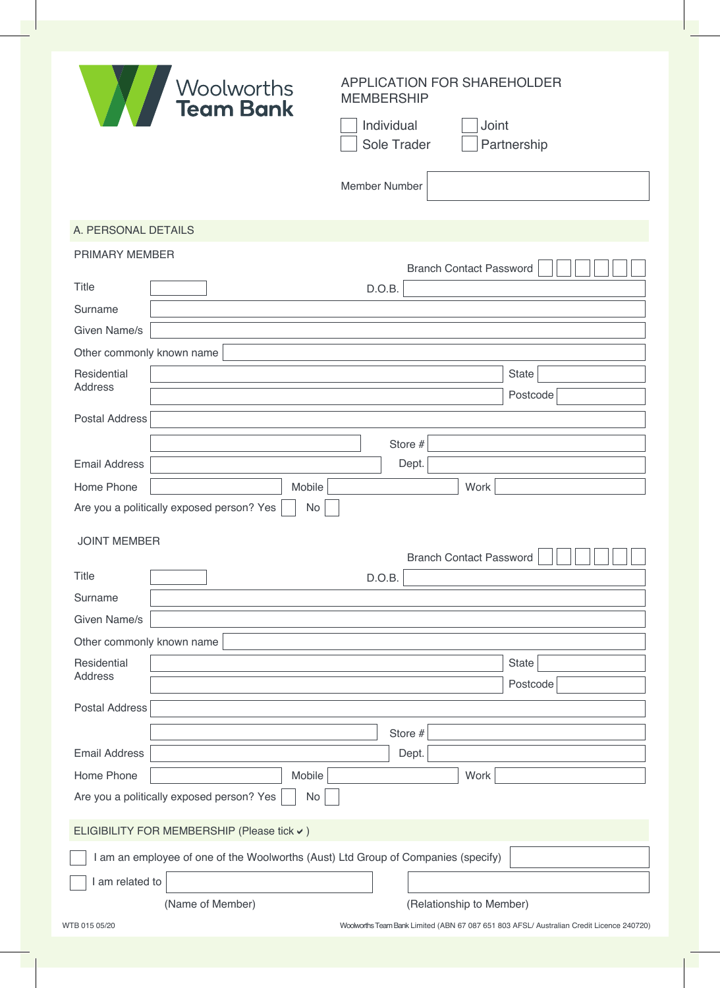| <b>X</b>                      | Woolworths<br>Team Bank                         | <b>APPLICATION FOR SHAREHOLDER</b><br><b>MEMBERSHIP</b><br>Joint<br>Individual<br>Sole Trader<br>Partnership<br>Member Number |  |
|-------------------------------|-------------------------------------------------|-------------------------------------------------------------------------------------------------------------------------------|--|
| A. PERSONAL DETAILS           |                                                 |                                                                                                                               |  |
| PRIMARY MEMBER                |                                                 |                                                                                                                               |  |
| <b>Title</b><br>Surname       |                                                 | <b>Branch Contact Password</b><br>D.O.B.                                                                                      |  |
| Given Name/s                  |                                                 |                                                                                                                               |  |
| Other commonly known name     |                                                 |                                                                                                                               |  |
| Residential<br><b>Address</b> |                                                 | State<br>Postcode                                                                                                             |  |
| <b>Postal Address</b>         |                                                 |                                                                                                                               |  |
|                               |                                                 | Store #                                                                                                                       |  |
| <b>Email Address</b>          |                                                 | Dept.                                                                                                                         |  |
| Home Phone                    | Mobile                                          | Work                                                                                                                          |  |
|                               | Are you a politically exposed person? Yes<br>No |                                                                                                                               |  |
| <b>JOINT MEMBER</b>           |                                                 | <b>Branch Contact Password</b>                                                                                                |  |
| Title                         |                                                 | D.O.B.                                                                                                                        |  |
| Surname                       |                                                 |                                                                                                                               |  |
| Given Name/s                  |                                                 |                                                                                                                               |  |
| Other commonly known name     |                                                 |                                                                                                                               |  |
| Residential<br><b>Address</b> |                                                 | <b>State</b><br>Postcode                                                                                                      |  |
| <b>Postal Address</b>         |                                                 |                                                                                                                               |  |
|                               |                                                 |                                                                                                                               |  |
| <b>Email Address</b>          |                                                 | Store #<br>Dept.                                                                                                              |  |
| Home Phone                    | Mobile                                          | Work                                                                                                                          |  |
|                               | Are you a politically exposed person? Yes<br>No |                                                                                                                               |  |
|                               | ELIGIBILITY FOR MEMBERSHIP (Please tick v)      |                                                                                                                               |  |
|                               |                                                 | I am an employee of one of the Woolworths (Aust) Ltd Group of Companies (specify)                                             |  |
| I am related to               |                                                 |                                                                                                                               |  |
|                               | (Name of Member)                                | (Relationship to Member)                                                                                                      |  |
| WTB 015 05/20                 |                                                 | Woolworths Team Bank Limited (ABN 67 087 651 803 AFSL/ Australian Credit Licence 240720)                                      |  |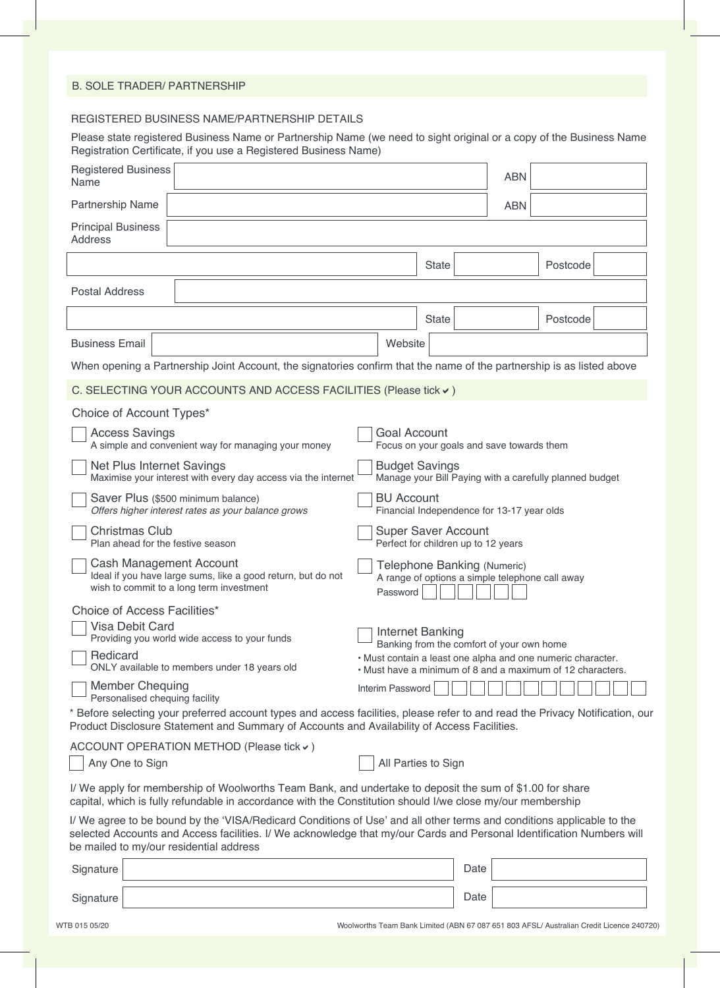### B. SOLE TRADER/ PARTNERSHIP

#### REGISTERED BUSINESS NAME/PARTNERSHIP DETAILS

Please state registered Business Name or Partnership Name (we need to sight original or a copy of the Business Name Registration Certificate, if you use a Registered Business Name)

| <b>Registered Business</b><br>Name                                                                                                                                                                                                                                                        |                                                   |                                                                                                                                                                        |              |      | <b>ABN</b> |          |  |
|-------------------------------------------------------------------------------------------------------------------------------------------------------------------------------------------------------------------------------------------------------------------------------------------|---------------------------------------------------|------------------------------------------------------------------------------------------------------------------------------------------------------------------------|--------------|------|------------|----------|--|
| Partnership Name                                                                                                                                                                                                                                                                          |                                                   |                                                                                                                                                                        |              |      | <b>ABN</b> |          |  |
| <b>Principal Business</b><br><b>Address</b>                                                                                                                                                                                                                                               |                                                   |                                                                                                                                                                        |              |      |            |          |  |
|                                                                                                                                                                                                                                                                                           |                                                   |                                                                                                                                                                        | <b>State</b> |      |            | Postcode |  |
| <b>Postal Address</b>                                                                                                                                                                                                                                                                     |                                                   |                                                                                                                                                                        |              |      |            |          |  |
|                                                                                                                                                                                                                                                                                           |                                                   |                                                                                                                                                                        | <b>State</b> |      |            | Postcode |  |
| <b>Business Email</b>                                                                                                                                                                                                                                                                     |                                                   | Website                                                                                                                                                                |              |      |            |          |  |
| When opening a Partnership Joint Account, the signatories confirm that the name of the partnership is as listed above                                                                                                                                                                     |                                                   |                                                                                                                                                                        |              |      |            |          |  |
| C. SELECTING YOUR ACCOUNTS AND ACCESS FACILITIES (Please tick v)                                                                                                                                                                                                                          |                                                   |                                                                                                                                                                        |              |      |            |          |  |
| Choice of Account Types*                                                                                                                                                                                                                                                                  |                                                   |                                                                                                                                                                        |              |      |            |          |  |
| <b>Access Savings</b><br><b>Goal Account</b><br>A simple and convenient way for managing your money<br>Focus on your goals and save towards them                                                                                                                                          |                                                   |                                                                                                                                                                        |              |      |            |          |  |
| <b>Budget Savings</b><br>Net Plus Internet Savings<br>Maximise your interest with every day access via the internet<br>Manage your Bill Paying with a carefully planned budget                                                                                                            |                                                   |                                                                                                                                                                        |              |      |            |          |  |
| <b>BU Account</b><br>Saver Plus (\$500 minimum balance)<br>Offers higher interest rates as your balance grows<br>Financial Independence for 13-17 year olds                                                                                                                               |                                                   |                                                                                                                                                                        |              |      |            |          |  |
| <b>Christmas Club</b><br><b>Super Saver Account</b><br>Plan ahead for the festive season<br>Perfect for children up to 12 years                                                                                                                                                           |                                                   |                                                                                                                                                                        |              |      |            |          |  |
| Cash Management Account<br>Telephone Banking (Numeric)<br>Ideal if you have large sums, like a good return, but do not<br>A range of options a simple telephone call away<br>wish to commit to a long term investment<br>Password                                                         |                                                   |                                                                                                                                                                        |              |      |            |          |  |
| Choice of Access Facilities*                                                                                                                                                                                                                                                              |                                                   |                                                                                                                                                                        |              |      |            |          |  |
| Providing you world wide access to your funds                                                                                                                                                                                                                                             | <b>Visa Debit Card</b><br><b>Internet Banking</b> |                                                                                                                                                                        |              |      |            |          |  |
| Redicard<br>ONLY available to members under 18 years old                                                                                                                                                                                                                                  |                                                   | Banking from the comfort of your own home<br>· Must contain a least one alpha and one numeric character.<br>• Must have a minimum of 8 and a maximum of 12 characters. |              |      |            |          |  |
| <b>Member Chequing</b><br>Personalised chequing facility                                                                                                                                                                                                                                  |                                                   | Interim Password                                                                                                                                                       |              |      |            |          |  |
| * Before selecting your preferred account types and access facilities, please refer to and read the Privacy Notification, our<br>Product Disclosure Statement and Summary of Accounts and Availability of Access Facilities.                                                              |                                                   |                                                                                                                                                                        |              |      |            |          |  |
| ACCOUNT OPERATION METHOD (Please tick v)                                                                                                                                                                                                                                                  |                                                   |                                                                                                                                                                        |              |      |            |          |  |
| Any One to Sign<br>All Parties to Sign                                                                                                                                                                                                                                                    |                                                   |                                                                                                                                                                        |              |      |            |          |  |
| I/ We apply for membership of Woolworths Team Bank, and undertake to deposit the sum of \$1.00 for share<br>capital, which is fully refundable in accordance with the Constitution should I/we close my/our membership                                                                    |                                                   |                                                                                                                                                                        |              |      |            |          |  |
| I/ We agree to be bound by the 'VISA/Redicard Conditions of Use' and all other terms and conditions applicable to the<br>selected Accounts and Access facilities. I/ We acknowledge that my/our Cards and Personal Identification Numbers will<br>be mailed to my/our residential address |                                                   |                                                                                                                                                                        |              |      |            |          |  |
| Signature                                                                                                                                                                                                                                                                                 |                                                   |                                                                                                                                                                        |              | Date |            |          |  |
| Signature                                                                                                                                                                                                                                                                                 |                                                   |                                                                                                                                                                        |              | Date |            |          |  |

Signature

WTB 015 05/20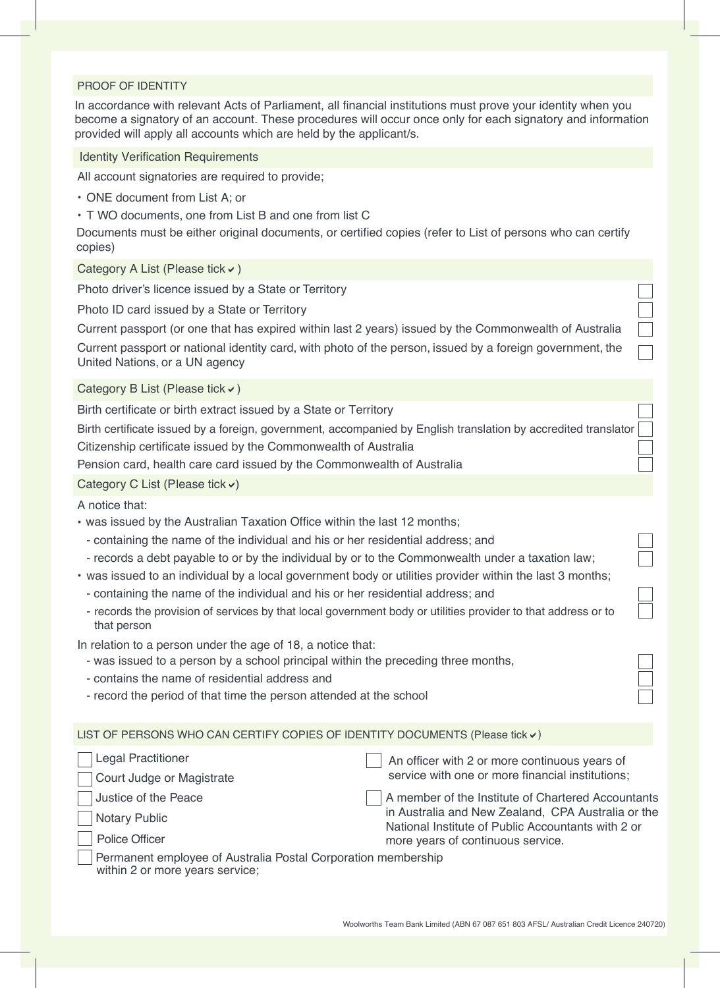#### PROOF OF IDENTITY

In accordance with relevant Acts of Parliament, all financial institutions must prove your identity when you become a signatory of an account. These procedures will occur once only for each signatory and information provided will apply all accounts which are held by the applicant/s.

Identity Verification Requirements

All account signatories are required to provide;

- ONE document from List A; or
- T WO documents, one from List B and one from list C

Documents must be either original documents, or certified copies (refer to List of persons who can certify copies)

Category A List (Please tick  $\checkmark$ )

Photo driver's licence issued by a State or Territory

Photo ID card issued by a State or Territory

Current passport (or one that has expired within last 2 years) issued by the Commonwealth of Australia

Current passport or national identity card, with photo of the person, issued by a foreign government, the United Nations, or a UN agency

Category B List (Please tick  $\vee$ )

Birth certificate or birth extract issued by a State or Territory

Birth certificate issued by a foreign, government, accompanied by English translation by accredited translator Citizenship certificate issued by the Commonwealth of Australia

Pension card, health care card issued by the Commonwealth of Australia

Category C List (Please tick  $\checkmark$ )

A notice that:

- was issued by the Australian Taxation Office within the last 12 months;
	- containing the name of the individual and his or her residential address; and
	- records a debt payable to or by the individual by or to the Commonwealth under a taxation law;
- was issued to an individual by a local government body or utilities provider within the last 3 months;
	- containing the name of the individual and his or her residential address; and
	- records the provision of services by that local government body or utilities provider to that address or to that person

In relation to a person under the age of 18, a notice that:

- was issued to a person by a school principal within the preceding three months,
- contains the name of residential address and
- record the period of that time the person attended at the school

LIST OF PERSONS WHO CAN CERTIFY COPIES OF IDENTITY DOCUMENTS (Please tick  $\boldsymbol{\nu}$ )

| <b>Legal Practitioner</b>                                                                        | An officer with 2 or more continuous years of                                                            |
|--------------------------------------------------------------------------------------------------|----------------------------------------------------------------------------------------------------------|
| Court Judge or Magistrate                                                                        | service with one or more financial institutions;                                                         |
| Justice of the Peace                                                                             | A member of the Institute of Chartered Accountants                                                       |
| Notary Public                                                                                    | in Australia and New Zealand, CPA Australia or the<br>National Institute of Public Accountants with 2 or |
| Police Officer                                                                                   | more years of continuous service.                                                                        |
| Permanent employee of Australia Postal Corporation membership<br>within 2 or more years service; |                                                                                                          |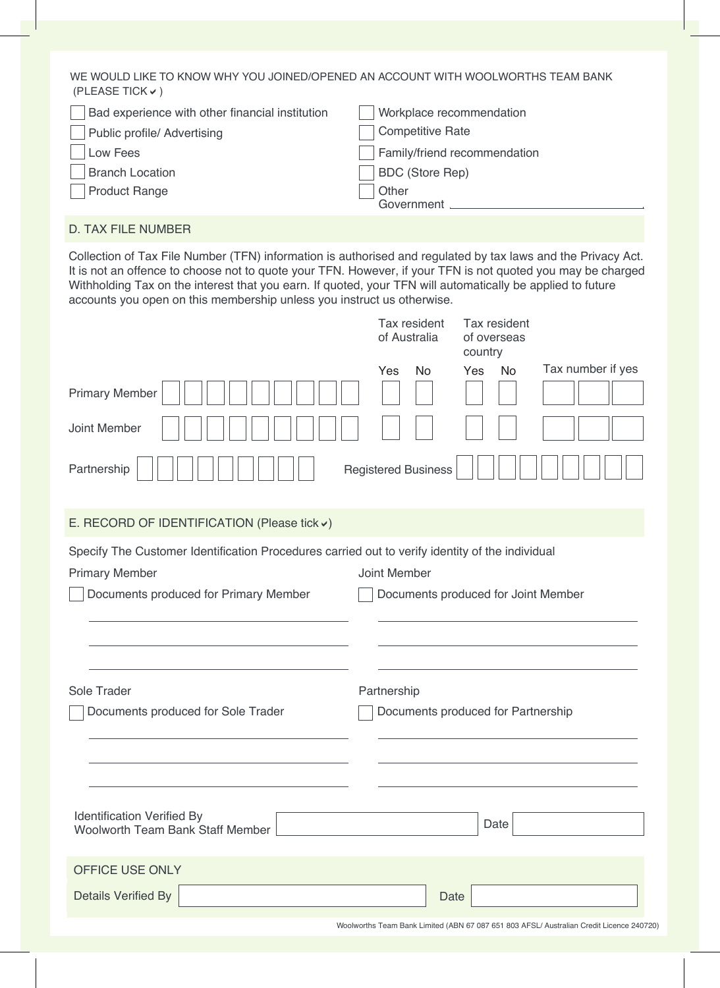WE WOULD LIKE TO KNOW WHY YOU JOINED/OPENED AN ACCOUNT WITH WOOLWORTHS TEAM BANK (PLEASE TICK $\checkmark$ )

| Bad experience with other financial institution | Workplace recommendation     |
|-------------------------------------------------|------------------------------|
| <b>Public profile/ Advertising</b>              | <b>Competitive Rate</b>      |
| Low Fees                                        | Family/friend recommendation |
| <b>Branch Location</b>                          | <b>BDC</b> (Store Rep)       |
| <b>Product Range</b>                            | Other<br>Government          |
|                                                 |                              |

# D. TAX FILE NUMBER

Collection of Tax File Number (TFN) information is authorised and regulated by tax laws and the Privacy Act. It is not an offence to choose not to quote your TFN. However, if your TFN is not quoted you may be charged Withholding Tax on the interest that you earn. If quoted, your TFN will automatically be applied to future accounts you open on this membership unless you instruct us otherwise.

| accounts you open on this membership unless you mshucit us otherwise.                                                                                             |                              |                                        |                   |
|-------------------------------------------------------------------------------------------------------------------------------------------------------------------|------------------------------|----------------------------------------|-------------------|
|                                                                                                                                                                   | Tax resident<br>of Australia | Tax resident<br>of overseas<br>country |                   |
|                                                                                                                                                                   | Yes<br>No                    | Yes<br><b>No</b>                       | Tax number if yes |
| <b>Primary Member</b>                                                                                                                                             |                              |                                        |                   |
| Joint Member                                                                                                                                                      |                              |                                        |                   |
| Partnership                                                                                                                                                       | <b>Registered Business</b>   |                                        |                   |
| E. RECORD OF IDENTIFICATION (Please tick v)                                                                                                                       |                              |                                        |                   |
| Specify The Customer Identification Procedures carried out to verify identity of the individual<br><b>Primary Member</b><br>Documents produced for Primary Member | Joint Member                 | Documents produced for Joint Member    |                   |
|                                                                                                                                                                   |                              |                                        |                   |
| Sole Trader                                                                                                                                                       | Partnership                  |                                        |                   |
| Documents produced for Sole Trader                                                                                                                                |                              | Documents produced for Partnership     |                   |
|                                                                                                                                                                   |                              |                                        |                   |
| <b>Identification Verified By</b><br><b>Woolworth Team Bank Staff Member</b>                                                                                      |                              | Date                                   |                   |
| OFFICE USE ONLY                                                                                                                                                   |                              |                                        |                   |
| <b>Details Verified By</b>                                                                                                                                        |                              | Date                                   |                   |

Woolworths Team Bank Limited (ABN 67 087 651 803 AFSL/ Australian Credit Licence 240720)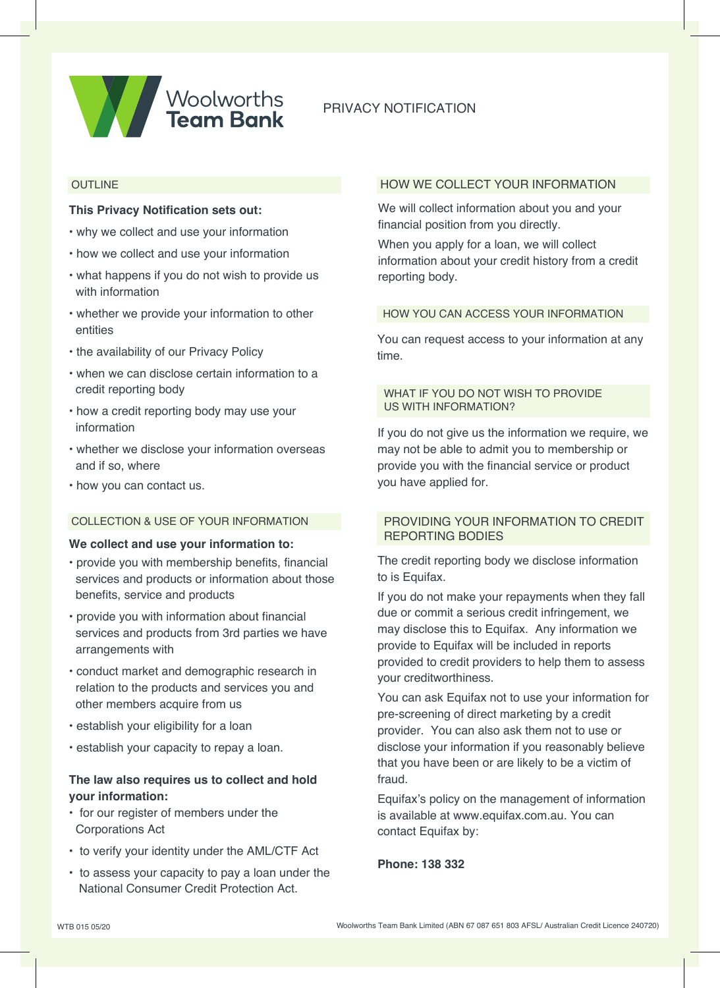

# PRIVACY NOTIFICATION

### **OUTLINE**

#### **This Privacy Notification sets out:**

- why we collect and use your information
- how we collect and use your information
- what happens if you do not wish to provide us with information
- whether we provide your information to other entities
- the availability of our Privacy Policy
- when we can disclose certain information to a credit reporting body
- how a credit reporting body may use your information
- whether we disclose your information overseas and if so, where
- how you can contact us.

# COLLECTION & USE OF YOUR INFORMATION

### **We collect and use your information to:**

- provide you with membership benefits, financial services and products or information about those benefits, service and products
- provide you with information about financial services and products from 3rd parties we have arrangements with
- conduct market and demographic research in relation to the products and services you and other members acquire from us
- establish your eligibility for a loan
- establish your capacity to repay a loan.

# **The law also requires us to collect and hold your information:**

- for our register of members under the Corporations Act
- to verify your identity under the AML/CTF Act
- to assess your capacity to pay a loan under the National Consumer Credit Protection Act.

#### HOW WE COLLECT YOUR INFORMATION

We will collect information about you and your financial position from you directly.

When you apply for a loan, we will collect information about your credit history from a credit reporting body.

#### HOW YOU CAN ACCESS YOUR INFORMATION

You can request access to your information at any time.

### WHAT IF YOU DO NOT WISH TO PROVIDE US WITH INFORMATION?

If you do not give us the information we require, we may not be able to admit you to membership or provide you with the financial service or product you have applied for.

### PROVIDING YOUR INFORMATION TO CREDIT REPORTING BODIES

The credit reporting body we disclose information to is Equifax.

If you do not make your repayments when they fall due or commit a serious credit infringement, we may disclose this to Equifax. Any information we provide to Equifax will be included in reports provided to credit providers to help them to assess your creditworthiness.

You can ask Equifax not to use your information for pre-screening of direct marketing by a credit provider. You can also ask them not to use or disclose your information if you reasonably believe that you have been or are likely to be a victim of fraud.

Equifax's policy on the management of information is available at www.equifax.com.au. You can contact Equifax by:

**Phone: 138 332**